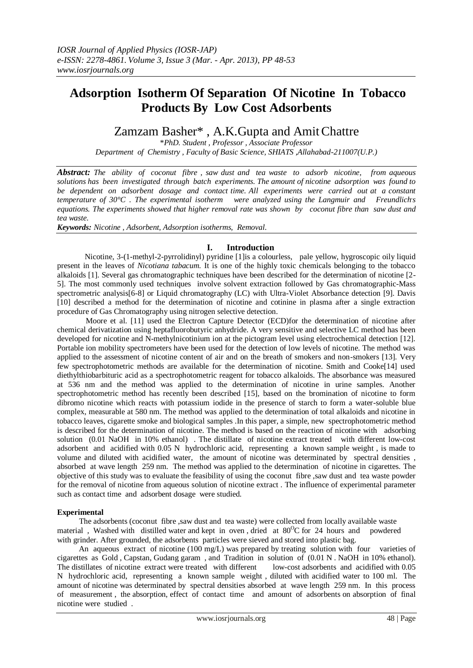# **Adsorption Isotherm Of Separation Of Nicotine In Tobacco Products By Low Cost Adsorbents**

# Zamzam Basher\* , A.K.Gupta and AmitChattre

\**PhD. Student , Professor , Associate Professor Department of Chemistry , Faculty of Basic Science, SHIATS ,Allahabad-211007(U.P.)*

*Abstract: The ability of coconut fibre , saw dust and tea waste to adsorb nicotine, from aqueous solutions has been investigated through batch experiments. The amount of nicotine adsorption was found to be dependent on adsorbent dosage and contact time. All experiments were carried out at a constant temperature of 30°C . The experimental isotherm were analyzed using the Langmuir and Freundlich, s equations. The experiments showed that higher removal rate was shown by coconut fibre than saw dust and tea waste.*

*Keywords: Nicotine , Adsorbent, Adsorption isotherms, Removal.*

## **I. Introduction**

 Nicotine, 3-(1-methyl-2-pyrrolidinyl) pyridine [1]is a colourless, pale yellow, hygroscopic oily liquid present in the leaves of *Nicotiana tabacum.* It is one of the highly toxic chemicals belonging to the tobacco alkaloids [1]. Several gas chromatographic techniques have been described for the determination of nicotine [2- 5]. The most commonly used techniques involve solvent extraction followed by Gas chromatographic-Mass spectrometric analysis[6-8] or Liquid chromatography (LC) with Ultra-Violet Absorbance detection [9]. Davis [10] described a method for the determination of nicotine and cotinine in plasma after a single extraction procedure of Gas Chromatography using nitrogen selective detection.

Moore et al. [11] used the Electron Capture Detector (ECD)for the determination of nicotine after chemical derivatization using heptafluorobutyric anhydride. A very sensitive and selective LC method has been developed for nicotine and N-methylnicotinium ion at the pictogram level using electrochemical detection [12]. Portable ion mobility spectrometers have been used for the detection of low levels of nicotine. The method was applied to the assessment of nicotine content of air and on the breath of smokers and non-smokers [13]. Very few spectrophotometric methods are available for the determination of nicotine. Smith and Cooke[14] used diethylthiobarbituric acid as a spectrophotometric reagent for tobacco alkaloids. The absorbance was measured at 536 nm and the method was applied to the determination of nicotine in urine samples. Another spectrophotometric method has recently been described [15], based on the bromination of nicotine to form dibromo nicotine which reacts with potassium iodide in the presence of starch to form a water-soluble blue complex, measurable at 580 nm. The method was applied to the determination of total alkaloids and nicotine in tobacco leaves, cigarette smoke and biological samples .In this paper, a simple, new spectrophotometric method is described for the determination of nicotine. The method is based on the reaction of nicotine with adsorbing solution (0.01 NaOH in 10% ethanol) . The distillate of nicotine extract treated with different low-cost adsorbent and acidified with 0.05 N hydrochloric acid, representing a known sample weight , is made to volume and diluted with acidified water, the amount of nicotine was determinated by spectral densities , absorbed at wave length 259 nm. The method was applied to the determination of nicotine in cigarettes. The objective of this study was to evaluate the feasibility of using the coconut fibre ,saw dust and tea waste powder for the removal of nicotine from aqueous solution of nicotine extract . The influence of experimental parameter such as contact time and adsorbent dosage were studied.

### **Experimental**

 The adsorbents (coconut fibre ,saw dust and tea waste) were collected from locally available waste material, Washed with distilled water and kept in oven, dried at 80°C for 24 hours and powdered with grinder. After grounded, the adsorbents particles were sieved and stored into plastic bag.

An aqueous extract of nicotine (100 mg/L) was prepared by treating solution with four varieties of cigarettes as Gold , Capstan, Gudang garam , and Tradition in solution of (0.01 N . NaOH in 10% ethanol). The distillates of nicotine extract were treated with different low-cost adsorbents and acidified with 0.05 N hydrochloric acid, representing a known sample weight , diluted with acidified water to 100 ml. The amount of nicotine was determinated by spectral densities absorbed at wave length 259 nm. In this process of measurement , the absorption, effect of contact time and amount of adsorbents on absorption of final nicotine were studied .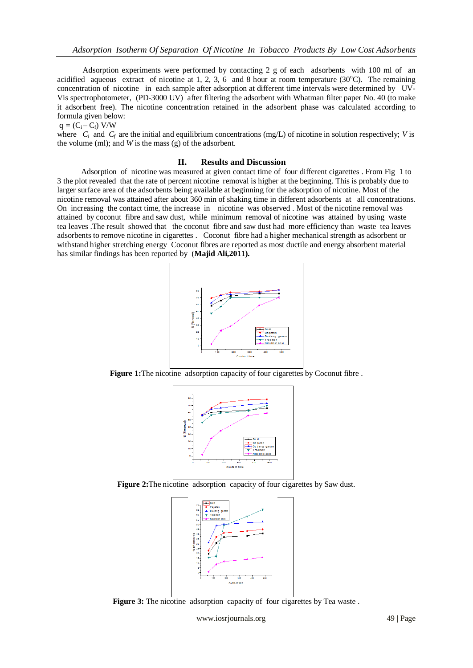Adsorption experiments were performed by contacting 2 g of each adsorbents with 100 ml of an acidified aqueous extract of nicotine at 1, 2, 3, 6 and 8 hour at room temperature  $(30^{\circ}C)$ . The remaining concentration of nicotine in each sample after adsorption at different time intervals were determined by UV-Vis spectrophotometer, (PD-3000 UV) after filtering the adsorbent with Whatman filter paper No. 40 (to make it adsorbent free). The nicotine concentration retained in the adsorbent phase was calculated according to formula given below:

 $q = (C_i - C_f)$  V/W

where  $C_i$  and  $C_f$  are the initial and equilibrium concentrations (mg/L) of nicotine in solution respectively; *V* is the volume (ml); and *W* is the mass (g) of the adsorbent.

#### **II. Results and Discussion**

 Adsorption of nicotine was measured at given contact time of four different cigarettes . From Fig 1 to 3 the plot revealed that the rate of percent nicotine removal is higher at the beginning. This is probably due to larger surface area of the adsorbents being available at beginning for the adsorption of nicotine. Most of the nicotine removal was attained after about 360 min of shaking time in different adsorbents at all concentrations. On increasing the contact time, the increase in nicotine was observed . Most of the nicotine removal was attained by coconut fibre and saw dust, while minimum removal of nicotine was attained by using waste tea leaves .The result showed that the coconut fibre and saw dust had more efficiency than waste tea leaves adsorbents to remove nicotine in cigarettes . Coconut fibre had a higher mechanical strength as adsorbent or withstand higher stretching energy Coconut fibres are reported as most ductile and energy absorbent material has similar findings has been reported by (**Majid Ali,2011).**



**Figure 1:**The nicotine adsorption capacity of four cigarettes by Coconut fibre .



**Figure 2:**The nicotine adsorption capacity of four cigarettes by Saw dust.



**Figure 3:** The nicotine adsorption capacity of four cigarettes by Tea waste.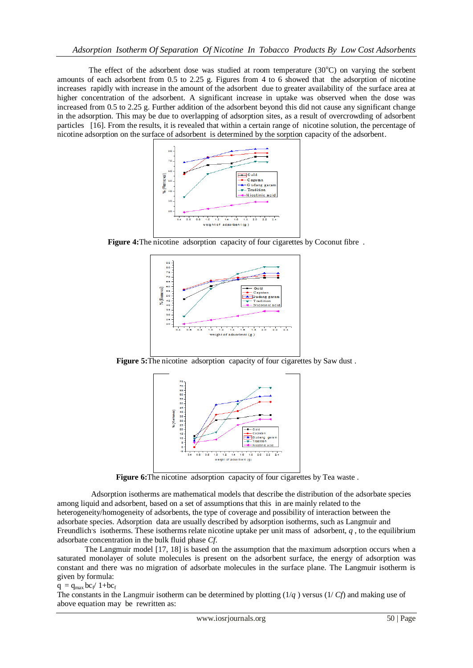The effect of the adsorbent dose was studied at room temperature  $(30^{\circ}C)$  on varying the sorbent amounts of each adsorbent from 0.5 to 2.25 g. Figures from 4 to 6 showed that the adsorption of nicotine increases rapidly with increase in the amount of the adsorbent due to greater availability of the surface area at higher concentration of the adsorbent. A significant increase in uptake was observed when the dose was increased from 0.5 to 2.25 g. Further addition of the adsorbent beyond this did not cause any significant change in the adsorption. This may be due to overlapping of adsorption sites, as a result of overcrowding of adsorbent particles [16]. From the results, it is revealed that within a certain range of nicotine solution, the percentage of nicotine adsorption on the surface of adsorbent is determined by the sorption capacity of the adsorbent.



**Figure 4:**The nicotine adsorption capacity of four cigarettes by Coconut fibre .



**Figure** 5: The nicotine adsorption capacity of four cigarettes by Saw dust.



Figure 6: The nicotine adsorption capacity of four cigarettes by Tea waste.

 Adsorption isotherms are mathematical models that describe the distribution of the adsorbate species among liquid and adsorbent, based on a set of assumptions that this in are mainly related to the heterogeneity/homogeneity of adsorbents, the type of coverage and possibility of interaction between the adsorbate species. Adsorption data are usually described by adsorption isotherms, such as Langmuir and Freundlich's isotherms. These isotherms relate nicotine uptake per unit mass of adsorbent,  $q$ , to the equilibrium adsorbate concentration in the bulk fluid phase *Cf*.

The Langmuir model [17, 18] is based on the assumption that the maximum adsorption occurs when a saturated monolayer of solute molecules is present on the adsorbent surface, the energy of adsorption was constant and there was no migration of adsorbate molecules in the surface plane. The Langmuir isotherm is given by formula:

 $q = q_{max}$  bc<sub>f</sub>/ 1+bc<sub>f</sub>

The constants in the Langmuir isotherm can be determined by plotting (1/*q* ) versus (1/ *Cf*) and making use of above equation may be rewritten as: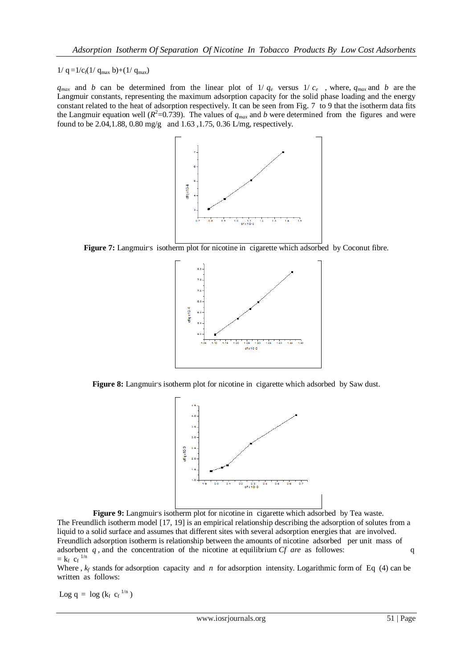$1/q = 1/c_f(1/q_{max} b) + (1/q_{max})$ 

 $q_{max}$  and *b* can be determined from the linear plot of 1/  $q_e$  versus 1/  $c_e$ , where,  $q_{max}$  and *b* are the Langmuir constants, representing the maximum adsorption capacity for the solid phase loading and the energy constant related to the heat of adsorption respectively. It can be seen from Fig. 7 to 9 that the isotherm data fits the Langmuir equation well ( $R^2$ =0.739). The values of  $q_{max}$  and *b* were determined from the figures and were found to be 2.04,1.88, 0.80 mg/g and 1.63 ,1.75, 0.36 L/mg, respectively.



Figure 7: Langmuir's isotherm plot for nicotine in cigarette which adsorbed by Coconut fibre.



Figure 8: Langmuir's isotherm plot for nicotine in cigarette which adsorbed by Saw dust.



Figure 9: Langmuir's isotherm plot for nicotine in cigarette which adsorbed by Tea waste. The Freundlich isotherm model [17, 19] is an empirical relationship describing the adsorption of solutes from a liquid to a solid surface and assumes that different sites with several adsorption energies that are involved. Freundlich adsorption isotherm is relationship between the amounts of nicotine adsorbed per unit mass of adsorbent *q*, and the concentration of the nicotine at equilibrium *Cf are* as followes: q  $=$   $k_f$   $c_f$ <sup>1/n</sup>

Where ,  $k_f$  stands for adsorption capacity and *n* for adsorption intensity. Logarithmic form of Eq (4) can be written as follows:

Log  $q = \log (k_f c_f^{1/n})$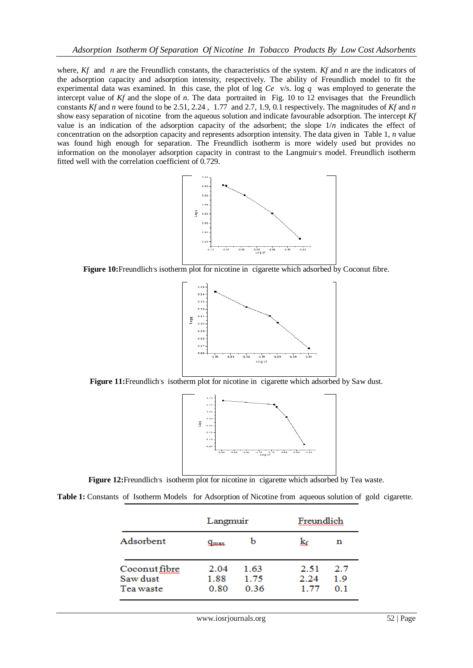where, *Kf* and *n* are the Freundlich constants, the characteristics of the system. *Kf* and *n* are the indicators of the adsorption capacity and adsorption intensity, respectively. The ability of Freundlich model to fit the experimental data was examined. In this case, the plot of log *Ce* v/s. log *q* was employed to generate the intercept value of *Kf* and the slope of *n*. The data portraited in Fig. 10 to 12 envisages that the Freundlich constants *Kf* and *n* were found to be 2.51, 2.24 , 1.77 and 2.7, 1.9, 0.1 respectively. The magnitudes of *Kf* and *n*  show easy separation of nicotine from the aqueous solution and indicate favourable adsorption. The intercept *Kf*  value is an indication of the adsorption capacity of the adsorbent; the slope 1/*n* indicates the effect of concentration on the adsorption capacity and represents adsorption intensity. The data given in Table 1, *n* value was found high enough for separation. The Freundlich isotherm is more widely used but provides no information on the monolayer adsorption capacity in contrast to the Langmuir's model. Freundlich isotherm fitted well with the correlation coefficient of 0.729.



Figure 10: Freundlich's isotherm plot for nicotine in cigarette which adsorbed by Coconut fibre.



Figure 11: Freundlich's isotherm plot for nicotine in cigarette which adsorbed by Saw dust.



Figure 12: Freundlich's isotherm plot for nicotine in cigarette which adsorbed by Tea waste.

**Table 1:** Constants of Isotherm Models for Adsorption of Nicotine from aqueous solution of gold cigarette.

|                                        | Langmuir             |                      | Freundlich           |                   |
|----------------------------------------|----------------------|----------------------|----------------------|-------------------|
| Adsorbent                              | $q_{max}$            | b                    | k£                   | n                 |
| Coconut fibre<br>Saw dust<br>Tea waste | 2.04<br>1.88<br>0.80 | 1.63<br>1.75<br>0.36 | 2.51<br>2.24<br>1.77 | 2.7<br>1.9<br>0.1 |